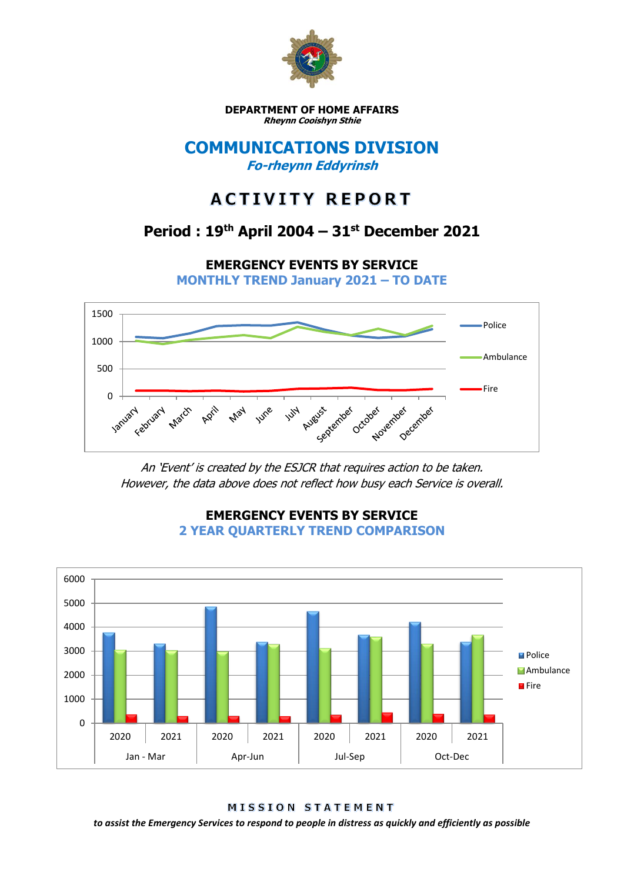

**DEPARTMENT OF HOME AFFAIRS Rheynn Cooishyn Sthie**

### **COMMUNICATIONS DIVISION Fo-rheynn Eddyrinsh**

# **ACTIVITY REPORT**

## **Period : 19th April 2004 – 31st December 2021**

**EMERGENCY EVENTS BY SERVICE**

**MONTHLY TREND January 2021 – TO DATE**



An 'Event' is created by the ESJCR that requires action to be taken. However, the data above does not reflect how busy each Service is overall.



**EMERGENCY EVENTS BY SERVICE 2 YEAR QUARTERLY TREND COMPARISON**

MISSION STATEMENT

*to assist the Emergency Services to respond to people in distress as quickly and efficiently as possible*